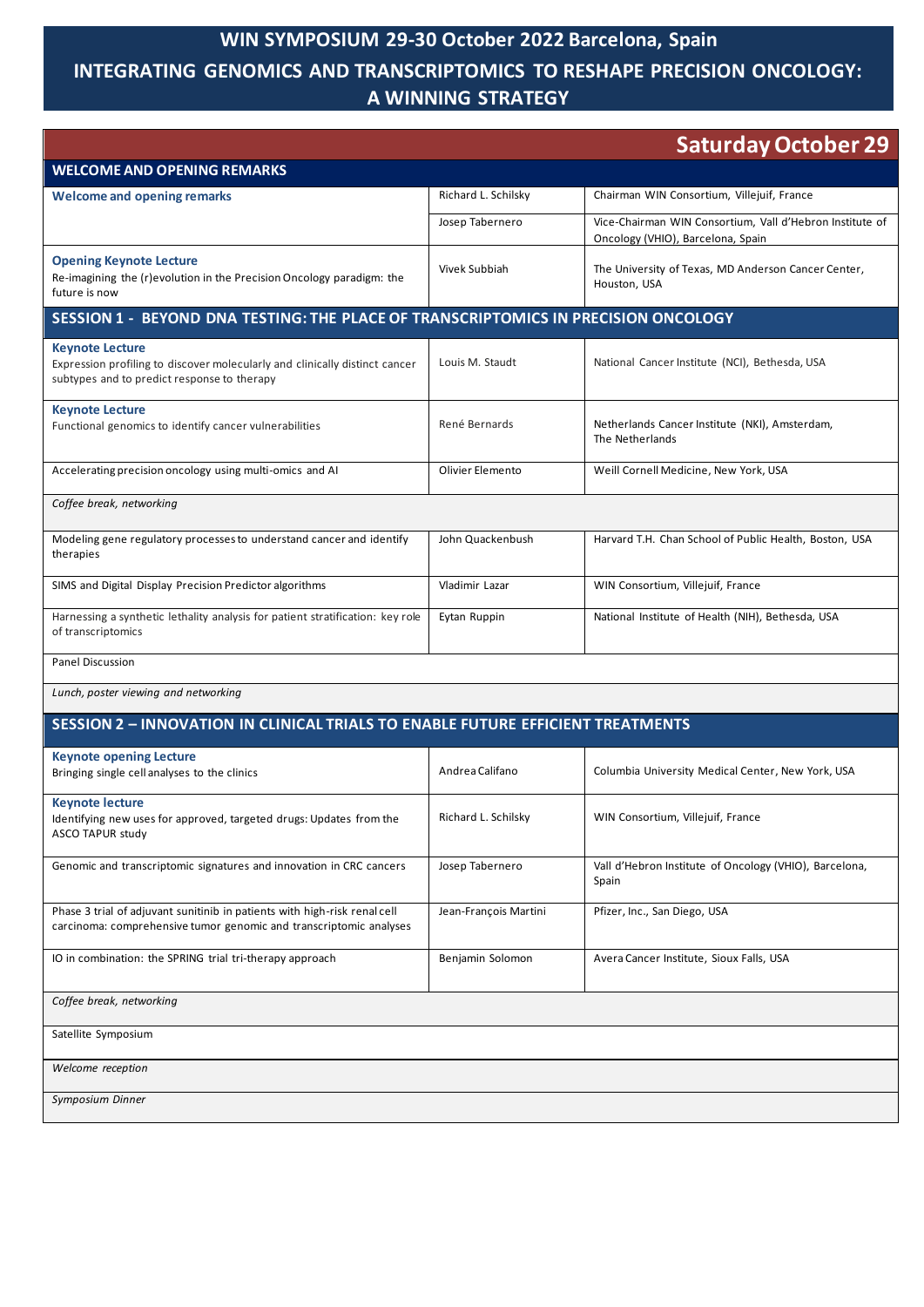# **WIN SYMPOSIUM 29-30 October 2022 Barcelona, Spain**

### **INTEGRATING GENOMICS AND TRANSCRIPTOMICS TO RESHAPE PRECISION ONCOLOGY: A WINNING STRATEGY**

|                                                                                                                                                      |                       | <b>Saturday October 29</b>                                                                    |  |  |
|------------------------------------------------------------------------------------------------------------------------------------------------------|-----------------------|-----------------------------------------------------------------------------------------------|--|--|
| <b>WELCOME AND OPENING REMARKS</b>                                                                                                                   |                       |                                                                                               |  |  |
| <b>Welcome and opening remarks</b>                                                                                                                   | Richard L. Schilsky   | Chairman WIN Consortium, Villejuif, France                                                    |  |  |
|                                                                                                                                                      | Josep Tabernero       | Vice-Chairman WIN Consortium, Vall d'Hebron Institute of<br>Oncology (VHIO), Barcelona, Spain |  |  |
| <b>Opening Keynote Lecture</b><br>Re-imagining the (r)evolution in the Precision Oncology paradigm: the<br>future is now                             | Vivek Subbiah         | The University of Texas, MD Anderson Cancer Center,<br>Houston, USA                           |  |  |
| SESSION 1 - BEYOND DNA TESTING: THE PLACE OF TRANSCRIPTOMICS IN PRECISION ONCOLOGY                                                                   |                       |                                                                                               |  |  |
| <b>Keynote Lecture</b><br>Expression profiling to discover molecularly and clinically distinct cancer<br>subtypes and to predict response to therapy | Louis M. Staudt       | National Cancer Institute (NCI), Bethesda, USA                                                |  |  |
| <b>Keynote Lecture</b><br>Functional genomics to identify cancer vulnerabilities                                                                     | René Bernards         | Netherlands Cancer Institute (NKI), Amsterdam,<br>The Netherlands                             |  |  |
| Accelerating precision oncology using multi-omics and AI                                                                                             | Olivier Elemento      | Weill Cornell Medicine, New York, USA                                                         |  |  |
| Coffee break, networking                                                                                                                             |                       |                                                                                               |  |  |
| Modeling gene regulatory processes to understand cancer and identify<br>therapies                                                                    | John Quackenbush      | Harvard T.H. Chan School of Public Health, Boston, USA                                        |  |  |
| SIMS and Digital Display Precision Predictor algorithms                                                                                              | Vladimir Lazar        | WIN Consortium, Villejuif, France                                                             |  |  |
| Harnessing a synthetic lethality analysis for patient stratification: key role<br>of transcriptomics                                                 | Eytan Ruppin          | National Institute of Health (NIH), Bethesda, USA                                             |  |  |
| <b>Panel Discussion</b>                                                                                                                              |                       |                                                                                               |  |  |
| Lunch, poster viewing and networking                                                                                                                 |                       |                                                                                               |  |  |
| <b>SESSION 2 - INNOVATION IN CLINICAL TRIALS TO ENABLE FUTURE EFFICIENT TREATMENTS</b>                                                               |                       |                                                                                               |  |  |
| <b>Keynote opening Lecture</b>                                                                                                                       |                       |                                                                                               |  |  |
| Bringing single cell analyses to the clinics                                                                                                         | Andrea Califano       | Columbia University Medical Center, New York, USA                                             |  |  |
| <b>Keynote lecture</b><br>Identifying new uses for approved, targeted drugs: Updates from the<br>ASCO TAPUR study                                    | Richard L. Schilsky   | WIN Consortium, Villejuif, France                                                             |  |  |
| Genomic and transcriptomic signatures and innovation in CRC cancers                                                                                  | Josep Tabernero       | Vall d'Hebron Institute of Oncology (VHIO), Barcelona,<br>Spain                               |  |  |
| Phase 3 trial of adjuvant sunitinib in patients with high-risk renal cell<br>carcinoma: comprehensive tumor genomic and transcriptomic analyses      | Jean-François Martini | Pfizer, Inc., San Diego, USA                                                                  |  |  |
| IO in combination: the SPRING trial tri-therapy approach                                                                                             | Benjamin Solomon      | Avera Cancer Institute, Sioux Falls, USA                                                      |  |  |
| Coffee break, networking                                                                                                                             |                       |                                                                                               |  |  |
| Satellite Symposium                                                                                                                                  |                       |                                                                                               |  |  |
| Welcome reception                                                                                                                                    |                       |                                                                                               |  |  |
| Symposium Dinner                                                                                                                                     |                       |                                                                                               |  |  |